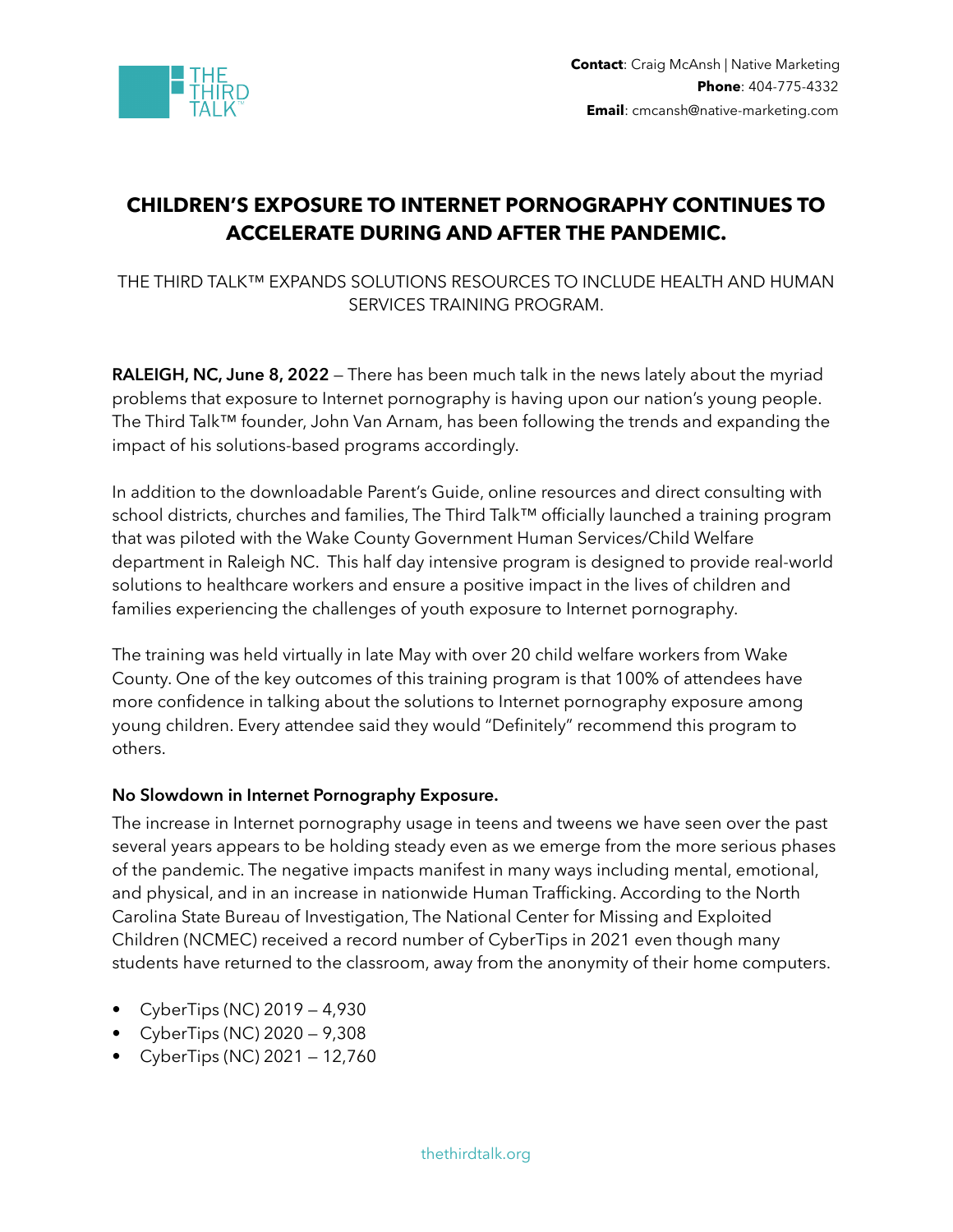

## **CHILDREN'S EXPOSURE TO INTERNET PORNOGRAPHY CONTINUES TO ACCELERATE DURING AND AFTER THE PANDEMIC.**

THE THIRD TALK™ EXPANDS SOLUTIONS RESOURCES TO INCLUDE HEALTH AND HUMAN SERVICES TRAINING PROGRAM.

**RALEIGH, NC, June 8, 2022** — There has been much talk in the news lately about the myriad problems that exposure to Internet pornography is having upon our nation's young people. The Third Talk™ founder, John Van Arnam, has been following the trends and expanding the impact of his solutions-based programs accordingly.

In addition to the downloadable Parent's Guide, online resources and direct consulting with school districts, churches and families, The Third Talk™ officially launched a training program that was piloted with the Wake County Government Human Services/Child Welfare department in Raleigh NC. This half day intensive program is designed to provide real-world solutions to healthcare workers and ensure a positive impact in the lives of children and families experiencing the challenges of youth exposure to Internet pornography.

The training was held virtually in late May with over 20 child welfare workers from Wake County. One of the key outcomes of this training program is that 100% of attendees have more confidence in talking about the solutions to Internet pornography exposure among young children. Every attendee said they would "Definitely" recommend this program to others.

## **No Slowdown in Internet Pornography Exposure.**

The increase in Internet pornography usage in teens and tweens we have seen over the past several years appears to be holding steady even as we emerge from the more serious phases of the pandemic. The negative impacts manifest in many ways including mental, emotional, and physical, and in an increase in nationwide Human Trafficking. According to the North Carolina State Bureau of Investigation, The National Center for Missing and Exploited Children (NCMEC) received a record number of CyberTips in 2021 even though many students have returned to the classroom, away from the anonymity of their home computers.

- CyberTips (NC)  $2019 4,930$
- CyberTips (NC) 2020 9,308
- CyberTips (NC) 2021 12,760